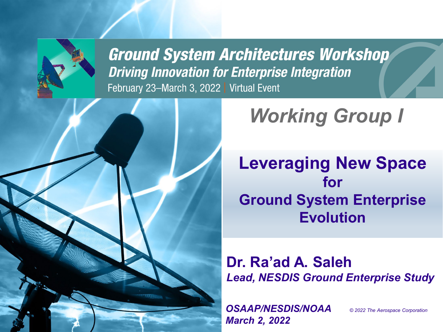

**Ground System Architectures Workshop Driving Innovation for Enterprise Integration** February 23-March 3, 2022 | Virtual Event



**Leveraging New Space for Ground System Enterprise Evolution**

**Dr. Ra'ad A. Saleh** *Lead, NESDIS Ground Enterprise Study*

*OSAAP/NESDIS/NOAA March 2, 2022*

*© 2022 The Aerospace Corporation*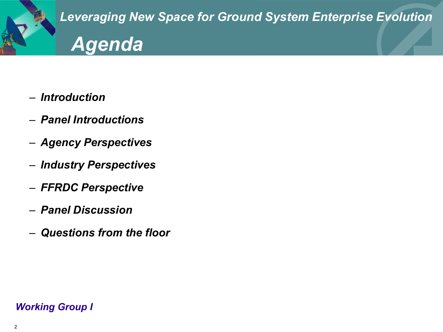

- *Introduction*
- *Panel Introductions*
- *Agency Perspectives*
- *Industry Perspectives*
- *FFRDC Perspective*
- *Panel Discussion*
- *Questions from the floor*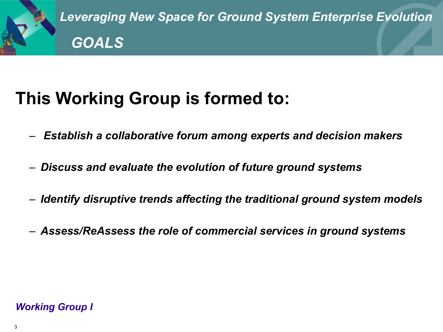

*Leveraging New Space for Ground System Enterprise Evolution GOALS*

# **This Working Group is formed to:**

- *Establish a collaborative forum among experts and decision makers*
- *Discuss and evaluate the evolution of future ground systems*
- *Identify disruptive trends affecting the traditional ground system models*
- *Assess/ReAssess the role of commercial services in ground systems*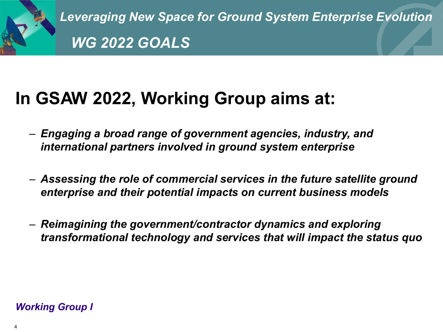

*Leveraging New Space for Ground System Enterprise Evolution WG 2022 GOALS*

# **In GSAW 2022, Working Group aims at:**

- *Engaging a broad range of government agencies, industry, and international partners involved in ground system enterprise*
- *Assessing the role of commercial services in the future satellite ground enterprise and their potential impacts on current business models*
- *Reimagining the government/contractor dynamics and exploring transformational technology and services that will impact the status quo*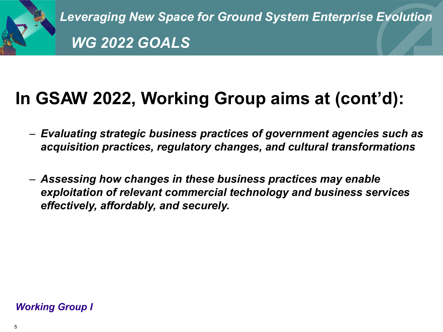

*Leveraging New Space for Ground System Enterprise Evolution WG 2022 GOALS*

# **In GSAW 2022, Working Group aims at (cont'd):**

- *Evaluating strategic business practices of government agencies such as acquisition practices, regulatory changes, and cultural transformations*
- *Assessing how changes in these business practices may enable exploitation of relevant commercial technology and business services effectively, affordably, and securely.*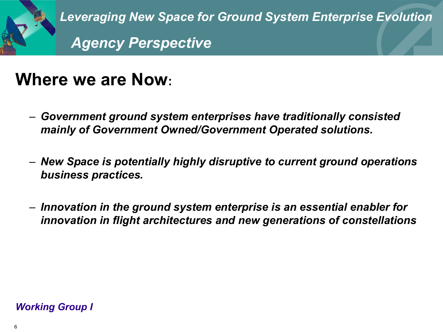

*Leveraging New Space for Ground System Enterprise Evolution Agency Perspective* 

### **Where we are Now:**

- *Government ground system enterprises have traditionally consisted mainly of Government Owned/Government Operated solutions.*
- *New Space is potentially highly disruptive to current ground operations business practices.*
- *Innovation in the ground system enterprise is an essential enabler for innovation in flight architectures and new generations of constellations*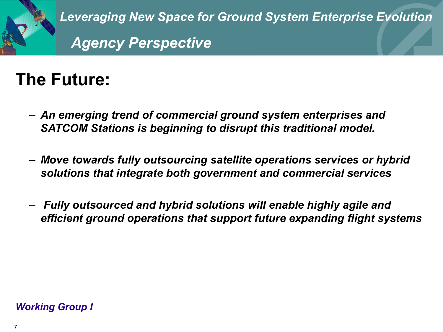

## **The Future:**

- *An emerging trend of commercial ground system enterprises and SATCOM Stations is beginning to disrupt this traditional model.*
- *Move towards fully outsourcing satellite operations services or hybrid solutions that integrate both government and commercial services*
- *Fully outsourced and hybrid solutions will enable highly agile and efficient ground operations that support future expanding flight systems*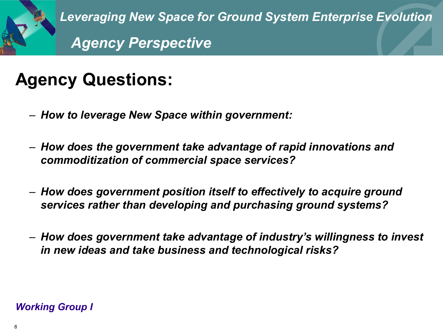

## **Agency Questions:**

- *How to leverage New Space within government:*
- *How does the government take advantage of rapid innovations and commoditization of commercial space services?*
- *How does government position itself to effectively to acquire ground services rather than developing and purchasing ground systems?*
- *How does government take advantage of industry's willingness to invest in new ideas and take business and technological risks?*